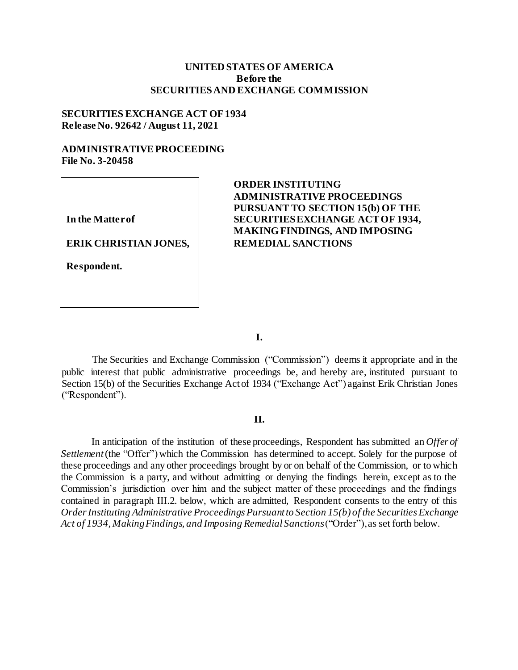## **UNITED STATES OF AMERICA Before the SECURITIESAND EXCHANGE COMMISSION**

### **SECURITIES EXCHANGE ACT OF1934 Release No. 92642 / August 11, 2021**

# **ADMINISTRATIVEPROCEEDING File No. 3-20458**

**In the Matterof**

**ERIK CHRISTIAN JONES,**

**Respondent.**

# **ORDER INSTITUTING ADMINISTRATIVE PROCEEDINGS PURSUANT TO SECTION 15(b) OF THE SECURITIESEXCHANGE ACTOF 1934, MAKING FINDINGS, AND IMPOSING REMEDIAL SANCTIONS**

**I.**

The Securities and Exchange Commission ("Commission") deems it appropriate and in the public interest that public administrative proceedings be, and hereby are, instituted pursuant to Section 15(b) of the Securities Exchange Act of 1934 ("Exchange Act") against Erik Christian Jones ("Respondent").

### **II.**

In anticipation of the institution of these proceedings, Respondent has submitted an *Offer of Settlement* (the "Offer") which the Commission has determined to accept. Solely for the purpose of these proceedings and any other proceedings brought by or on behalf of the Commission, or to which the Commission is a party, and without admitting or denying the findings herein, except as to the Commission's jurisdiction over him and the subject matter of these proceedings and the findings contained in paragraph III.2. below, which are admitted, Respondent consents to the entry of this *OrderInstituting Administrative Proceedings Pursuantto Section 15(b) of the Securities Exchange Act of 1934, MakingFindings, and Imposing Remedial Sanctions*("Order"),as set forth below.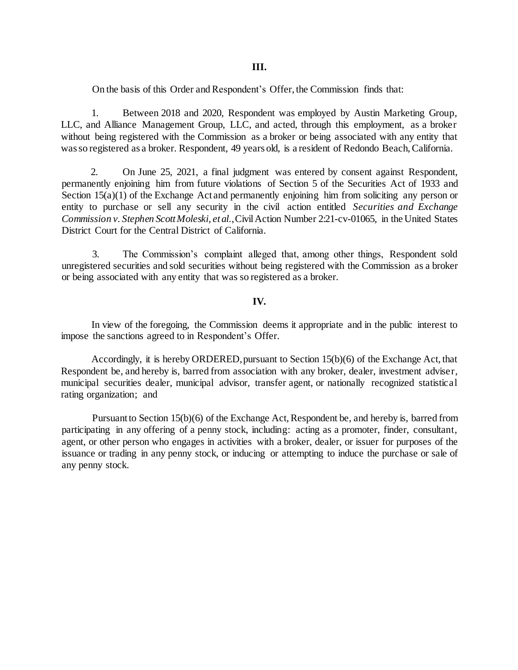On the basis of this Order and Respondent's Offer, the Commission finds that:

1. Between 2018 and 2020, Respondent was employed by Austin Marketing Group, LLC, and Alliance Management Group, LLC, and acted, through this employment, as a broker without being registered with the Commission as a broker or being associated with any entity that wasso registered as a broker. Respondent, 49 years old, is a resident of Redondo Beach,California.

2. On June 25, 2021, a final judgment was entered by consent against Respondent, permanently enjoining him from future violations of Section 5 of the Securities Act of 1933 and Section 15(a)(1) of the Exchange Act and permanently enjoining him from soliciting any person or entity to purchase or sell any security in the civil action entitled *Securities and Exchange Commission v. Stephen ScottMoleski, etal.*,CivilAction Number 2:21-cv-01065, in the United States District Court for the Central District of California.

3. The Commission's complaint alleged that, among other things, Respondent sold unregistered securities and sold securities without being registered with the Commission as a broker or being associated with any entity that was so registered as a broker.

### **IV.**

In view of the foregoing, the Commission deems it appropriate and in the public interest to impose the sanctions agreed to in Respondent's Offer.

Accordingly, it is hereby ORDERED,pursuant to Section 15(b)(6) of the Exchange Act, that Respondent be, and hereby is, barred from association with any broker, dealer, investment adviser, municipal securities dealer, municipal advisor, transfer agent, or nationally recognized statistical rating organization; and

Pursuant to Section 15(b)(6) of the Exchange Act, Respondent be, and hereby is, barred from participating in any offering of a penny stock, including: acting as a promoter, finder, consultant, agent, or other person who engages in activities with a broker, dealer, or issuer for purposes of the issuance or trading in any penny stock, or inducing or attempting to induce the purchase or sale of any penny stock.